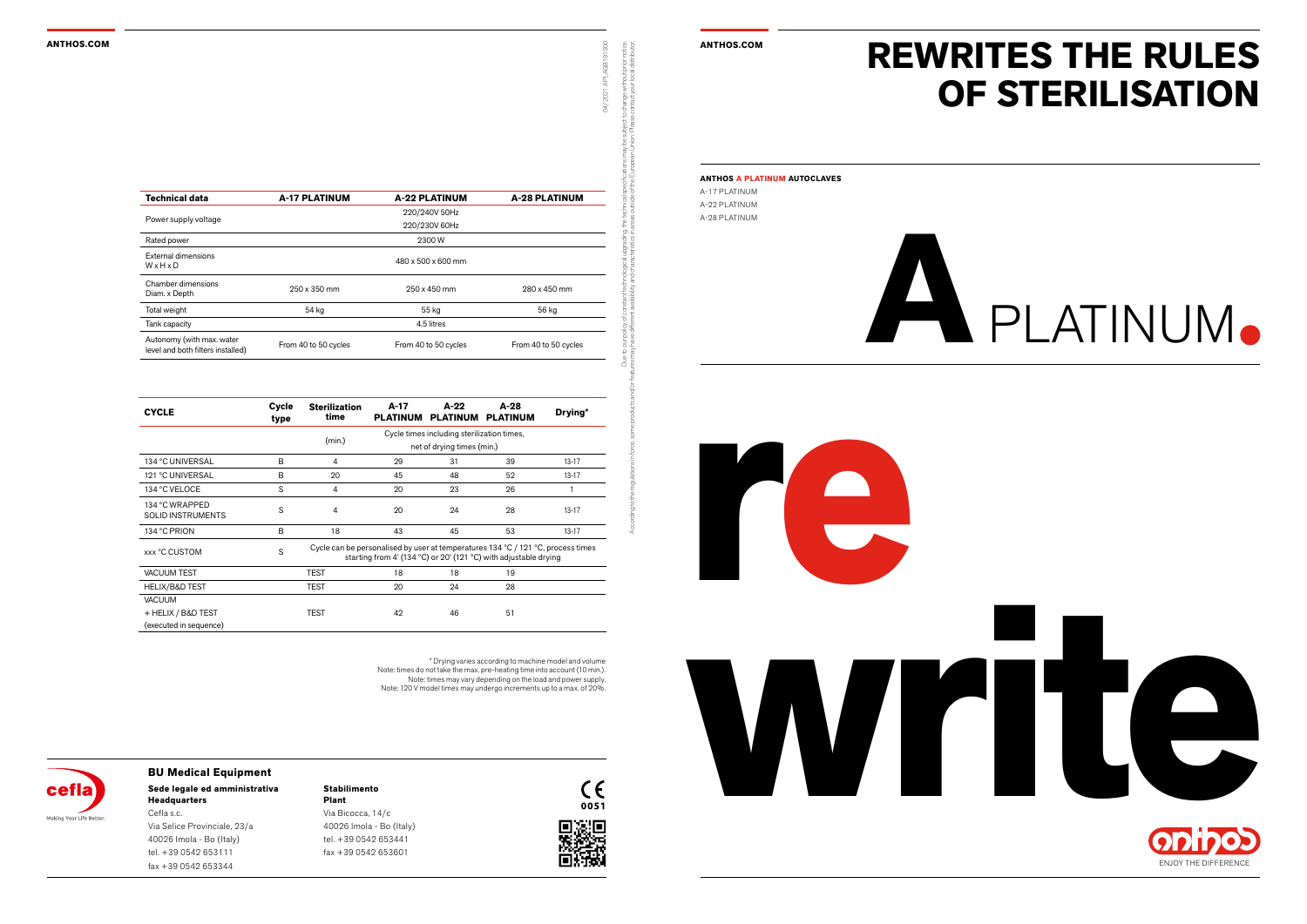#### **ANTHOS.COM ANTHOS.COM**

**re**







# **A**PLATINUM

#### **Stabilimento Plant**

Via Bicocca, 14/c 40026 Imola - Bo (Italy) tel. +39 0542 653441 fax +39 0542 653601







#### **Sede legale ed amministrativa Headquarters BU Medical Equipment**

Cefla s.c. Via Selice Provinciale, 23/a 40026 Imola - Bo (Italy) tel. +39 0542 653111 fax +39 0542 653344

## **REWRITES THE RULES OF STERILISATION**

**ANTHOS A PLATINUM AUTOCLAVES**

A-17 PLATINUM A-22 PLATINUM A-28 PLATINUM

Due to our policy of constant technological upgrading, the technical specifications may be subject to change without prior notice.

According to the regulations in force, some products and/or features may have different availability and characteristics in areas outside of the European Union. Please contact your local distributor.

04/2021 APLAGB191S00

hange without prior r<br>ntact your local distri

\* Drying varies according to machine model and volume Note: times do not take the max. pre-heating time into account (10 min.). Note: times may vary depending on the load and power supply. Note: 120 V model times may undergo increments up to a max. of 20%.



| <b>Technical data</b>                                          | <b>A-17 PLATINUM</b> | <b>A-22 PLATINUM</b> | <b>A-28 PLATINUM</b> |  |  |  |  |  |
|----------------------------------------------------------------|----------------------|----------------------|----------------------|--|--|--|--|--|
|                                                                |                      | 220/240V 50Hz        |                      |  |  |  |  |  |
| Power supply voltage                                           | 220/230V 60Hz        |                      |                      |  |  |  |  |  |
| Rated power                                                    | 2300W                |                      |                      |  |  |  |  |  |
| External dimensions<br>WxHxD                                   | 480 x 500 x 600 mm   |                      |                      |  |  |  |  |  |
| Chamber dimensions<br>Diam. x Depth                            | 250 x 350 mm         | $250 \times 450$ mm  | 280 x 450 mm         |  |  |  |  |  |
| Total weight                                                   | 54 kg                | 55 kg                | 56 kg                |  |  |  |  |  |
| Tank capacity                                                  | 4.5 litres           |                      |                      |  |  |  |  |  |
| Autonomy (with max. water<br>level and both filters installed) | From 40 to 50 cycles | From 40 to 50 cycles | From 40 to 50 cycles |  |  |  |  |  |

| <b>CYCLE</b>                               | Cycle<br>type | <b>Sterilization</b><br>time                                                                                                                                               | $A-17$<br><b>PLATINUM</b>                  | A-22<br><b>PLATINUM</b> | A-28<br><b>PLATINUM</b> | Drying*   |  |
|--------------------------------------------|---------------|----------------------------------------------------------------------------------------------------------------------------------------------------------------------------|--------------------------------------------|-------------------------|-------------------------|-----------|--|
|                                            |               | (min.)                                                                                                                                                                     | Cycle times including sterilization times, |                         |                         |           |  |
|                                            |               | net of drying times (min.)                                                                                                                                                 |                                            |                         |                         |           |  |
| 134 °C UNIVERSAL                           | B             | 4                                                                                                                                                                          | 29                                         | 31                      | 39                      | $13 - 17$ |  |
| 121 °C UNIVERSAL                           | B             | 20                                                                                                                                                                         | 45                                         | 48                      | 52                      | $13 - 17$ |  |
| 134 °C VELOCE                              | S             | $\overline{4}$                                                                                                                                                             | 20                                         | 23                      | 26                      |           |  |
| 134 °C WRAPPED<br><b>SOLID INSTRUMENTS</b> | S             | 4                                                                                                                                                                          | 20                                         | 24                      | 28                      | $13 - 17$ |  |
| 134 °C PRION                               | B             | 18                                                                                                                                                                         | 43                                         | 45                      | 53                      | $13-17$   |  |
| xxx °C CUSTOM                              | S             | Cycle can be personalised by user at temperatures $134\,^{\circ}$ C / $121\,^{\circ}$ C, process times<br>starting from 4' (134 °C) or 20' (121 °C) with adjustable drying |                                            |                         |                         |           |  |
| <b>VACUUM TEST</b>                         |               | <b>TEST</b>                                                                                                                                                                | 18                                         | 18                      | 19                      |           |  |
| <b>HELIX/B&amp;D TEST</b>                  |               | <b>TEST</b>                                                                                                                                                                | 20                                         | 24                      | 28                      |           |  |
| <b>VACUUM</b>                              |               |                                                                                                                                                                            |                                            |                         |                         |           |  |
| + HELIX / B&D TEST                         |               | <b>TEST</b>                                                                                                                                                                | 42                                         | 46                      | 51                      |           |  |
| (executed in sequence)                     |               |                                                                                                                                                                            |                                            |                         |                         |           |  |